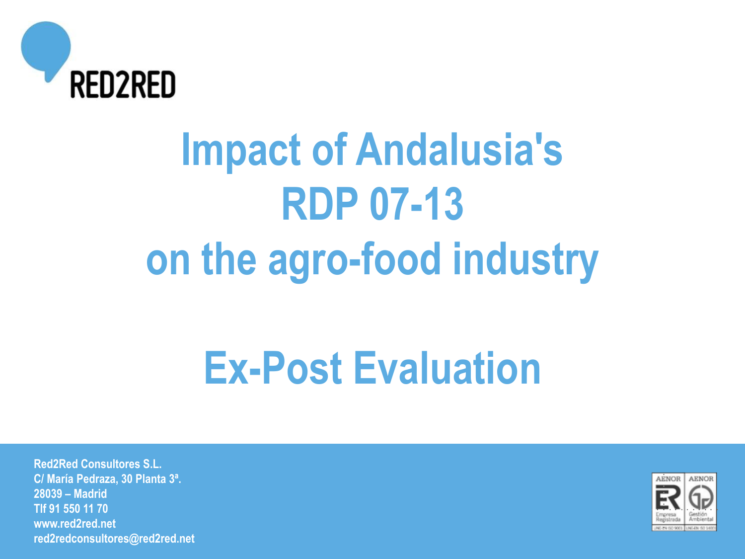

# **Impact of Andalusia's RDP 07-13 on the agro-food industry**

## **Ex-Post Evaluation**

**Red2Red Consultores S.L. C/ María Pedraza, 30 Planta 3ª. 28039 – Madrid Tlf 91 550 11 70 www.red2red.net red2redconsultores@red2red.net**

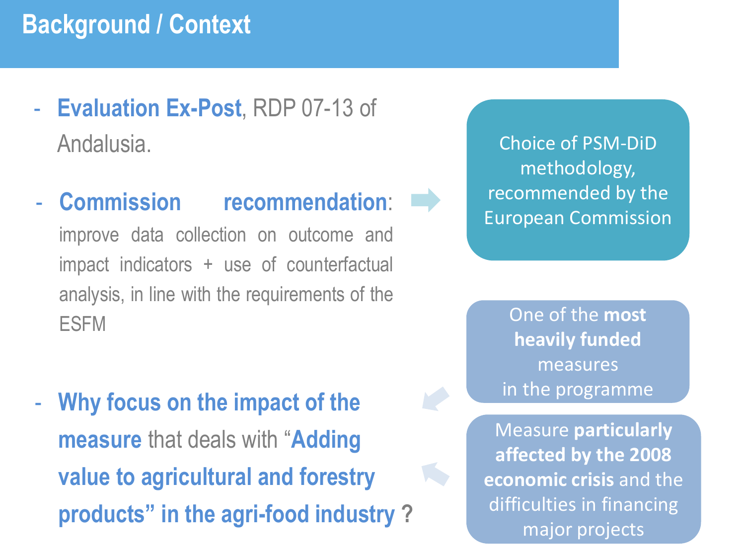### **Background / Context**

- **Evaluation Ex-Post**, RDP 07-13 of Andalusia.
- **Commission recommendation**:

improve data collection on outcome and impact indicators + use of counterfactual analysis, in line with the requirements of the ESFM

- **Why focus on the impact of the measure** that deals with "**Adding value to agricultural and forestry products" in the agri-food industry ?** 

Choice of PSM-DiD methodology, recommended by the European Commission

One of the **most heavily funded**  measures in the programme

Measure **particularly affected by the 2008 economic crisis** and the difficulties in financing major projects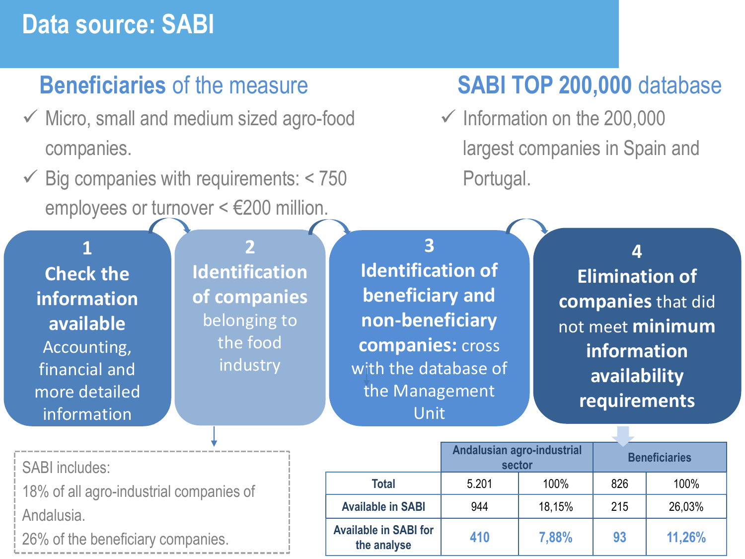## **Data source: SABI**

### **Beneficiaries** of the measure

- ✓ Micro, small and medium sized agro-food companies.
- $\checkmark$  Big companies with requirements: < 750 employees or turnover < €200 million.

## **SABI TOP 200,000** database

 $\checkmark$  Information on the 200,000 largest companies in Spain and Portugal.

**the analyse <sup>410</sup> 7,88% <sup>93</sup> 11,26%**

| 4<br><b>Elimination of</b><br>companies that did<br>not meet minimum<br>information<br>availability<br>requirements |  |  |
|---------------------------------------------------------------------------------------------------------------------|--|--|
|                                                                                                                     |  |  |
| 100%                                                                                                                |  |  |
| 26,03%                                                                                                              |  |  |
| <b>Beneficiaries</b>                                                                                                |  |  |

**Available in SABI for**

26% of the beneficiary companies.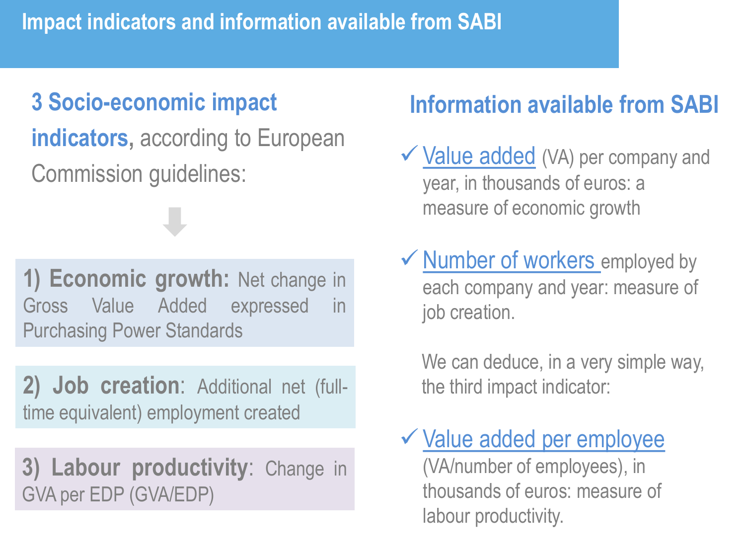## **3 Socio-economic impact**

**indicators, according to European** Commission guidelines:

**1) Economic growth:** Net change in Gross Value Added expressed in Purchasing Power Standards

**2) Job creation**: Additional net (fulltime equivalent) employment created

**3) Labour productivity**: Change in GVA per EDP (GVA/EDP)

## **Information available from SABI**

- $\checkmark$  Value added (VA) per company and year, in thousands of euros: a measure of economic growth
- $\checkmark$  Number of workers employed by each company and year: measure of job creation.

We can deduce, in a very simple way, the third impact indicator:

✓Value added per employee (VA/number of employees), in thousands of euros: measure of labour productivity.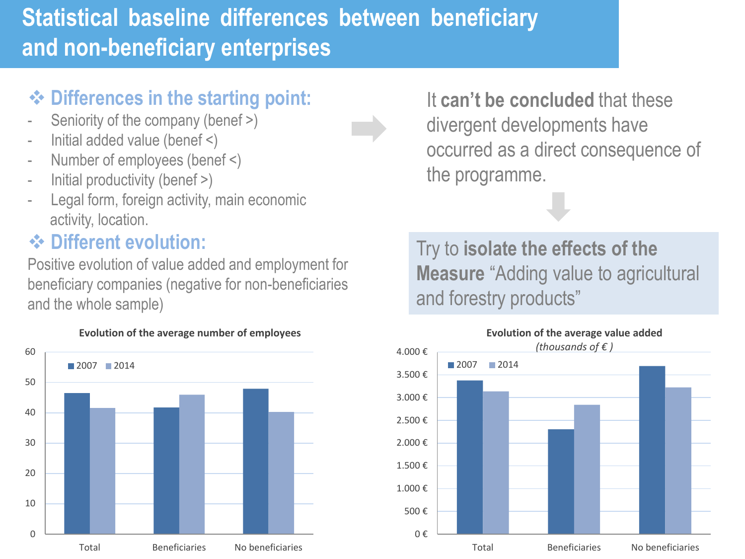## **Statistical baseline differences between beneficiary and non-beneficiary enterprises**

#### ❖ **Differences in the starting point:**

- Seniority of the company (benef >)
- Initial added value (benef <)
- Number of employees (benef <)
- Initial productivity (benef >)
- Legal form, foreign activity, main economic activity, location.

#### ❖ **Different evolution:**

Positive evolution of value added and employment for beneficiary companies (negative for non-beneficiaries and the whole sample)



**Evolution of the average number of employees**

It **can't be concluded** that these divergent developments have occurred as a direct consequence of the programme.

Try to **isolate the effects of the Measure** "Adding value to agricultural and forestry products"

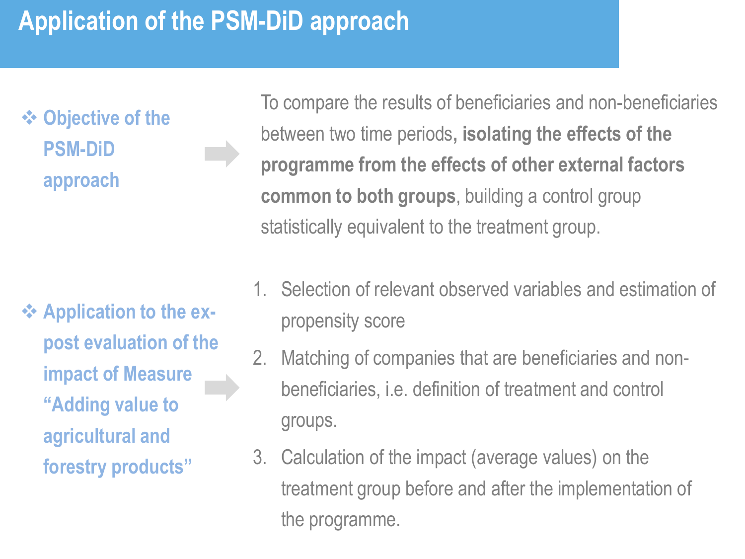## **Application of the PSM-DiD approach**

❖ **Objective of the PSM-DiD approach**

❖ **Application to the expost evaluation of the impact of Measure "Adding value to agricultural and forestry products"**

To compare the results of beneficiaries and non-beneficiaries between two time periods**, isolating the effects of the programme from the effects of other external factors common to both groups**, building a control group statistically equivalent to the treatment group.

- 1. Selection of relevant observed variables and estimation of propensity score
- 2. Matching of companies that are beneficiaries and nonbeneficiaries, i.e. definition of treatment and control groups.
- 3. Calculation of the impact (average values) on the treatment group before and after the implementation of the programme.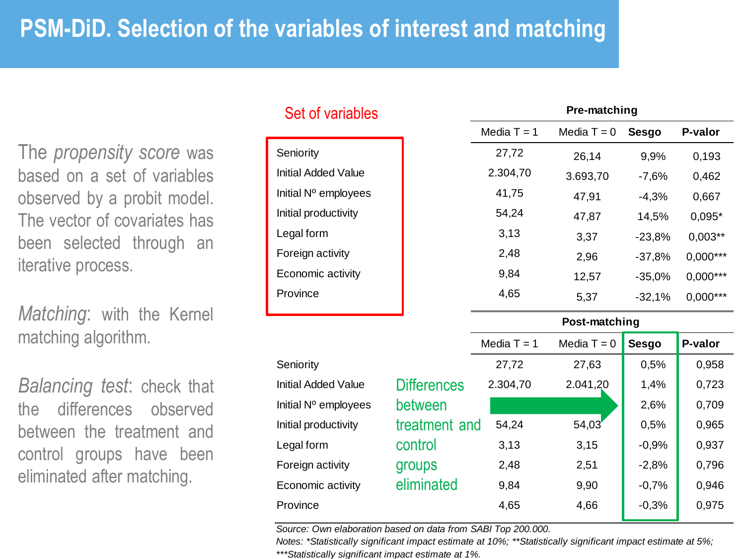## **PSM-DiD. Selection of the variables of interest and matching**

The *propensity score* was based on a set of variables observed by a probit model. The vector of covariates has been selected through an iterative process.

*Matching*: with the Kernel matching algorithm.

*Balancing test*: check that the differences observed between the treatment and control groups have been eliminated after matching.

| Set of variables |                            |                    | Pre-matching  |               |              |            |  |
|------------------|----------------------------|--------------------|---------------|---------------|--------------|------------|--|
|                  |                            |                    | Media $T = 1$ | Media $T = 0$ | <b>Sesgo</b> | P-valor    |  |
|                  | Seniority                  |                    | 27,72         | 26,14         | 9,9%         | 0,193      |  |
|                  | <b>Initial Added Value</b> |                    | 2.304,70      | 3.693,70      | $-7,6%$      | 0,462      |  |
|                  | Initial Nº employees       |                    | 41,75         | 47,91         | $-4,3%$      | 0,667      |  |
|                  | Initial productivity       |                    | 54,24         | 47,87         | 14,5%        | $0,095*$   |  |
|                  | Legal form                 |                    | 3,13          | 3,37          | $-23,8%$     | $0,003**$  |  |
|                  | Foreign activity           |                    | 2,48          | 2,96          | $-37,8%$     | $0,000***$ |  |
|                  | Economic activity          |                    | 9,84          | 12,57         | $-35,0%$     | $0,000***$ |  |
|                  | Province                   |                    | 4,65          | 5,37          | $-32,1%$     | $0,000***$ |  |
|                  |                            |                    |               | Post-matching |              |            |  |
|                  |                            |                    | Media $T = 1$ | Media $T = 0$ | <b>Sesgo</b> | P-valor    |  |
|                  | Seniority                  |                    | 27,72         | 27,63         | 0,5%         | 0,958      |  |
|                  | <b>Initial Added Value</b> | <b>Differences</b> | 2.304,70      | 2.041,20      | 1,4%         | 0,723      |  |
|                  | Initial Nº employees       | between            |               |               | 2,6%         | 0,709      |  |
|                  | Initial productivity       | treatment and      | 54,24         | 54,03'        | 0,5%         | 0,965      |  |
|                  | Legal form                 | control            | 3,13          | 3,15          | $-0,9%$      | 0,937      |  |
|                  | Foreign activity           | groups             | 2,48          | 2,51          | $-2,8%$      | 0,796      |  |
|                  | Economic activity          | eliminated         | 9,84          | 9,90          | $-0,7%$      | 0,946      |  |

*Source: Own elaboration based on data from SABI Top 200.000.* 

*Notes: \*Statistically significant impact estimate at 10%; \*\*Statistically significant impact estimate at 5%; \*\*\*Statistically significant impact estimate at 1%.*

Province 2008 2,65 4,66 4,66 4,66 5 0,975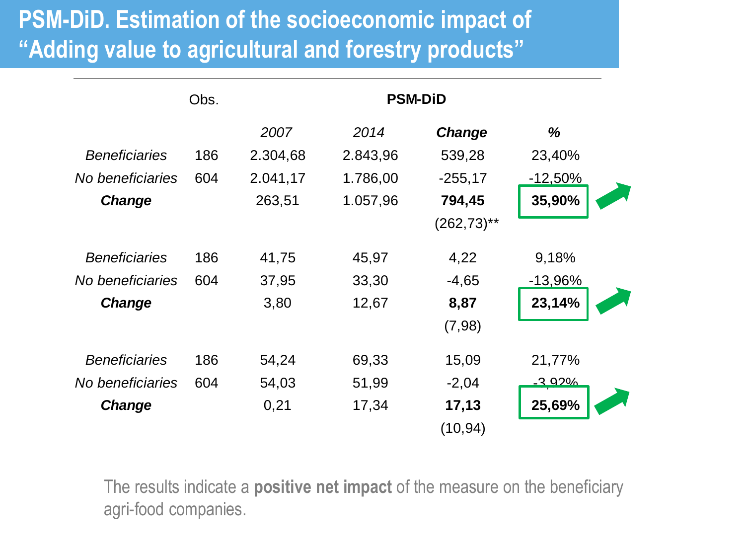## **PSM-DiD. Estimation of the socioeconomic impact of "Adding value to agricultural and forestry products"**

|                      | Obs. |          | <b>PSM-DiD</b> |                           |                |
|----------------------|------|----------|----------------|---------------------------|----------------|
|                      |      | 2007     | 2014           | <b>Change</b>             | %              |
| <b>Beneficiaries</b> | 186  | 2.304,68 | 2.843,96       | 539,28                    | 23,40%         |
| No beneficiaries     | 604  | 2.041,17 | 1.786,00       | $-255,17$                 | $-12,50\%$     |
| <b>Change</b>        |      | 263,51   | 1.057,96       | 794,45                    | 35,90%         |
|                      |      |          |                | $(262, 73)$ <sup>**</sup> |                |
| <b>Beneficiaries</b> | 186  | 41,75    | 45,97          | 4,22                      | 9,18%          |
| No beneficiaries     | 604  | 37,95    | 33,30          | $-4,65$                   | $-13,96%$      |
| <b>Change</b>        |      | 3,80     | 12,67          | 8,87                      | 23,14%         |
|                      |      |          |                | (7,98)                    |                |
| <b>Beneficiaries</b> | 186  | 54,24    | 69,33          | 15,09                     | 21,77%         |
| No beneficiaries     | 604  | 54,03    | 51,99          | $-2,04$                   | <u>-3 92% </u> |
| Change               |      | 0,21     | 17,34          | 17,13                     | 25,69%         |
|                      |      |          |                | (10, 94)                  |                |

The results indicate a **positive net impact** of the measure on the beneficiary agri-food companies.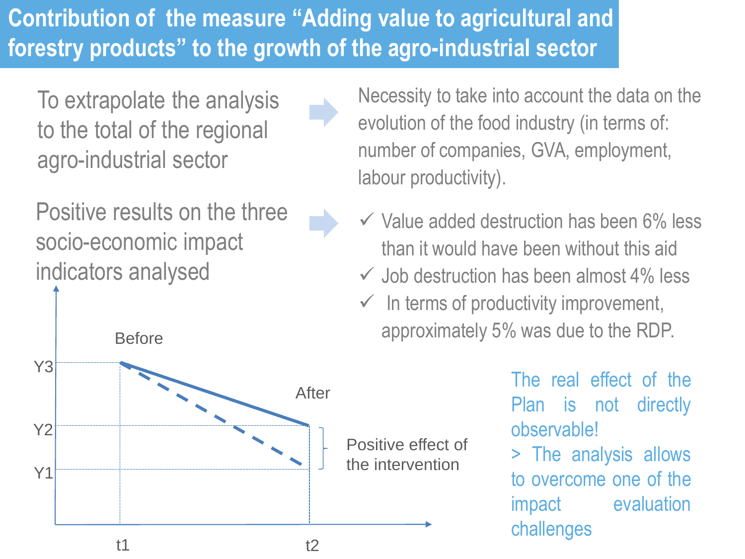## **Contribution of the measure "Adding value to agricultural and forestry products" to the growth of the agro-industrial sector**

To extrapolate the analysis to the total of the regional agro-industrial sector

Positive results on the three socio-economic impact indicators analysed

t1 t2 Y1 Y2 Y3 Before After Positive effect of the intervention

Necessity to take into account the data on the evolution of the food industry (in terms of: number of companies, GVA, employment, labour productivity).

- $\checkmark$  Value added destruction has been 6% less than it would have been without this aid
- $\checkmark$  Job destruction has been almost 4% less
- $\checkmark$  In terms of productivity improvement, approximately 5% was due to the RDP.

The real effect of the Plan is not directly observable!

> The analysis allows to overcome one of the impact evaluation challenges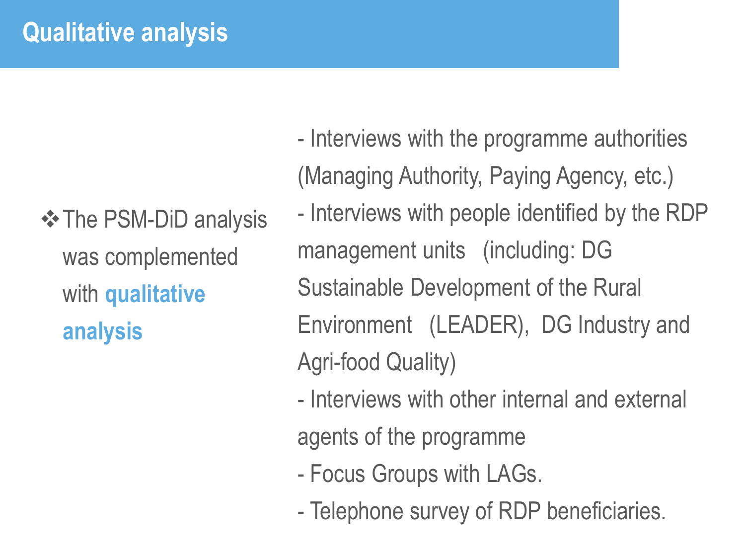## **Qualitative analysis**

**❖ The PSM-DiD analysis** was complemented with **qualitative analysis**

- Interviews with the programme authorities (Managing Authority, Paying Agency, etc.) - Interviews with people identified by the RDP management units (including: DG Sustainable Development of the Rural Environment (LEADER), DG Industry and Agri-food Quality)

- Interviews with other internal and external agents of the programme
- Focus Groups with LAGs.
- Telephone survey of RDP beneficiaries.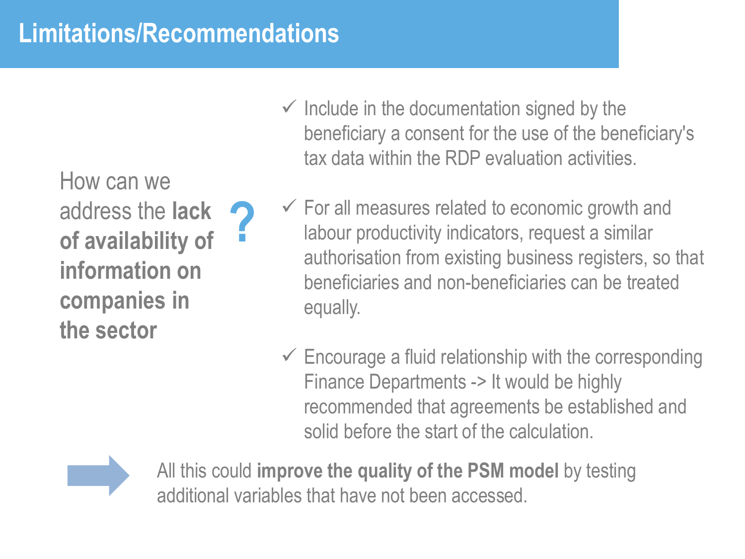## **Limitations/Recommendations**

How can we address the **lack of availability of information on companies in the sector ?**

- $\checkmark$  Include in the documentation signed by the beneficiary a consent for the use of the beneficiary's tax data within the RDP evaluation activities.
- $\checkmark$  For all measures related to economic growth and labour productivity indicators, request a similar authorisation from existing business registers, so that beneficiaries and non-beneficiaries can be treated equally.
- $\checkmark$  Encourage a fluid relationship with the corresponding Finance Departments -> It would be highly recommended that agreements be established and solid before the start of the calculation.



All this could **improve the quality of the PSM model** by testing additional variables that have not been accessed.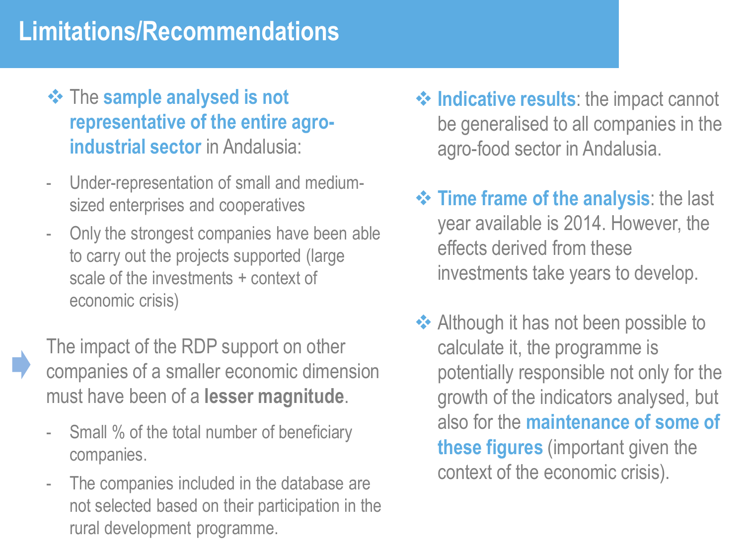## **Limitations/Recommendations**

- ❖ The **sample analysed is not representative of the entire agroindustrial sector** in Andalusia:
- Under-representation of small and mediumsized enterprises and cooperatives
- Only the strongest companies have been able to carry out the projects supported (large scale of the investments + context of economic crisis)

The impact of the RDP support on other companies of a smaller economic dimension must have been of a **lesser magnitude**.

- Small % of the total number of beneficiary companies.
- The companies included in the database are not selected based on their participation in the rural development programme.
- ❖ **Indicative results**: the impact cannot be generalised to all companies in the agro-food sector in Andalusia.
- ❖ **Time frame of the analysis**: the last year available is 2014. However, the effects derived from these investments take years to develop.
- ❖ Although it has not been possible to calculate it, the programme is potentially responsible not only for the growth of the indicators analysed, but also for the **maintenance of some of these figures** (important given the context of the economic crisis).